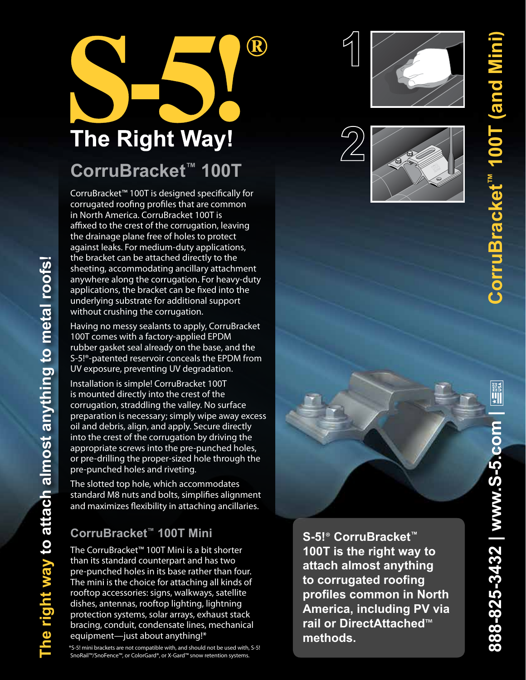# $\bigcirc \hspace{-0.25cm} \bigcirc$ **The Right Way! CorruBracket™ 100T**

CorruBracket™ 100T is designed specifically for corrugated roofing profiles that are common in North America. CorruBracket 100T is affixed to the crest of the corrugation, leaving the drainage plane free of holes to protect against leaks. For medium‑duty applications, the bracket can be attached directly to the sheeting, accommodating ancillary attachment anywhere along the corrugation. For heavy-duty applications, the bracket can be fixed into the underlying substrate for additional support without crushing the corrugation.

Having no messy sealants to apply, CorruBracket 100T comes with a factory‑applied EPDM rubber gasket seal already on the base, and the S-5!<sup>®</sup>-patented reservoir conceals the EPDM from UV exposure, preventing UV degradation.

Installation is simple! CorruBracket 100T is mounted directly into the crest of the corrugation, straddling the valley. No surface preparation is necessary; simply wipe away excess oil and debris, align, and apply. Secure directly into the crest of the corrugation by driving the appropriate screws into the pre‑punched holes, or pre‑drilling the proper‑sized hole through the pre‑punched holes and riveting.

The slotted top hole, which accommodates standard M8 nuts and bolts, simplifies alignment and maximizes flexibility in attaching ancillaries.

## **CorruBracket™ 100T Mini**

**The right way to attach almost anything to metal roofs!** 

The right way to attach almost anything to metal roofs!

The CorruBracket™ 100T Mini is a bit shorter than its standard counterpart and has two pre‑punched holes in its base rather than four. The mini is the choice for attaching all kinds of rooftop accessories: signs, walkways, satellite dishes, antennas, rooftop lighting, lightning protection systems, solar arrays, exhaust stack bracing, conduit, condensate lines, mechanical equipment—just about anything!\*

\*S-5! mini brackets are not compatible with, and should not be used with, S-5! SnoRail™/SnoFence™, or ColorGard®, or X-Gard™ snow retention systems.

**S-5!**® **CorruBracket™ 100T is the right way to attach almost anything to corrugated roofing profiles common in North America, including PV via rail or DirectAttached**™ **methods.**